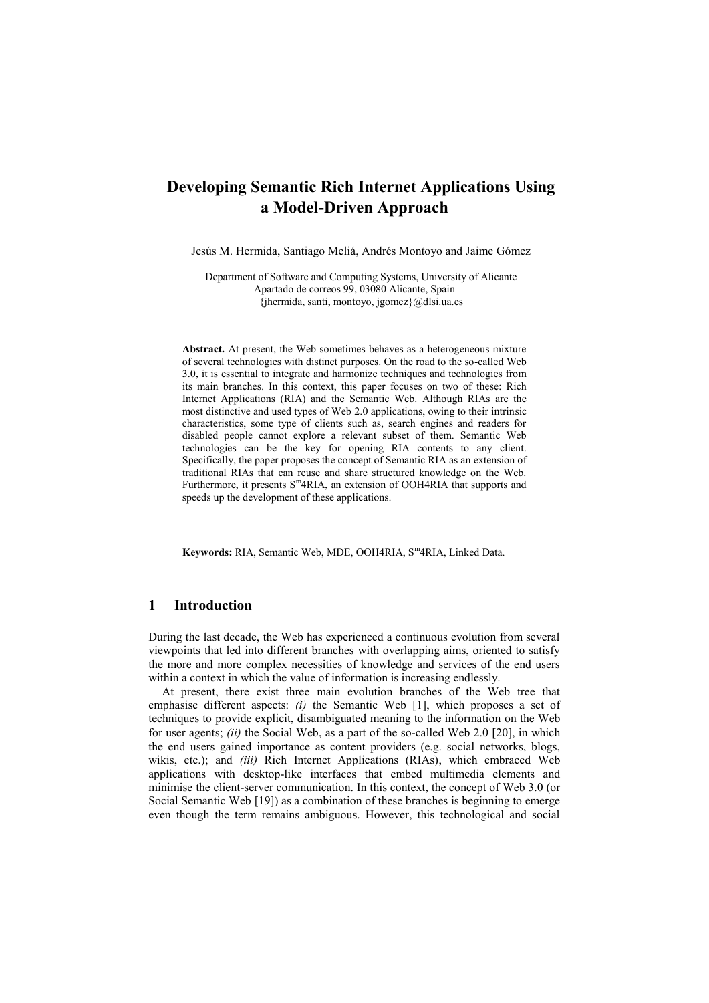# **Developing Semantic Rich Internet Applications Using a Model-Driven Approach**

Jesús M. Hermida, Santiago Meliá, Andrés Montoyo and Jaime Gómez

Department of Software and Computing Systems, University of Alicante Apartado de correos 99, 03080 Alicante, Spain {jhermida, santi, montoyo, jgomez}@dlsi.ua.es

**Abstract.** At present, the Web sometimes behaves as a heterogeneous mixture of several technologies with distinct purposes. On the road to the so-called Web 3.0, it is essential to integrate and harmonize techniques and technologies from its main branches. In this context, this paper focuses on two of these: Rich Internet Applications (RIA) and the Semantic Web. Although RIAs are the most distinctive and used types of Web 2.0 applications, owing to their intrinsic characteristics, some type of clients such as, search engines and readers for disabled people cannot explore a relevant subset of them. Semantic Web technologies can be the key for opening RIA contents to any client. Specifically, the paper proposes the concept of Semantic RIA as an extension of traditional RIAs that can reuse and share structured knowledge on the Web. Furthermore, it presents S<sup>m</sup>4RIA, an extension of OOH4RIA that supports and speeds up the development of these applications.

**Keywords:** RIA, Semantic Web, MDE, OOH4RIA, S<sup>m</sup> 4RIA, Linked Data.

#### **1 Introduction**

During the last decade, the Web has experienced a continuous evolution from several viewpoints that led into different branches with overlapping aims, oriented to satisfy the more and more complex necessities of knowledge and services of the end users within a context in which the value of information is increasing endlessly.

At present, there exist three main evolution branches of the Web tree that emphasise different aspects: *(i)* the Semantic Web [1], which proposes a set of techniques to provide explicit, disambiguated meaning to the information on the Web for user agents; *(ii)* the Social Web, as a part of the so-called Web 2.0 [20], in which the end users gained importance as content providers (e.g. social networks, blogs, wikis, etc.); and *(iii)* Rich Internet Applications (RIAs), which embraced Web applications with desktop-like interfaces that embed multimedia elements and minimise the client-server communication. In this context, the concept of Web 3.0 (or Social Semantic Web [19]) as a combination of these branches is beginning to emerge even though the term remains ambiguous. However, this technological and social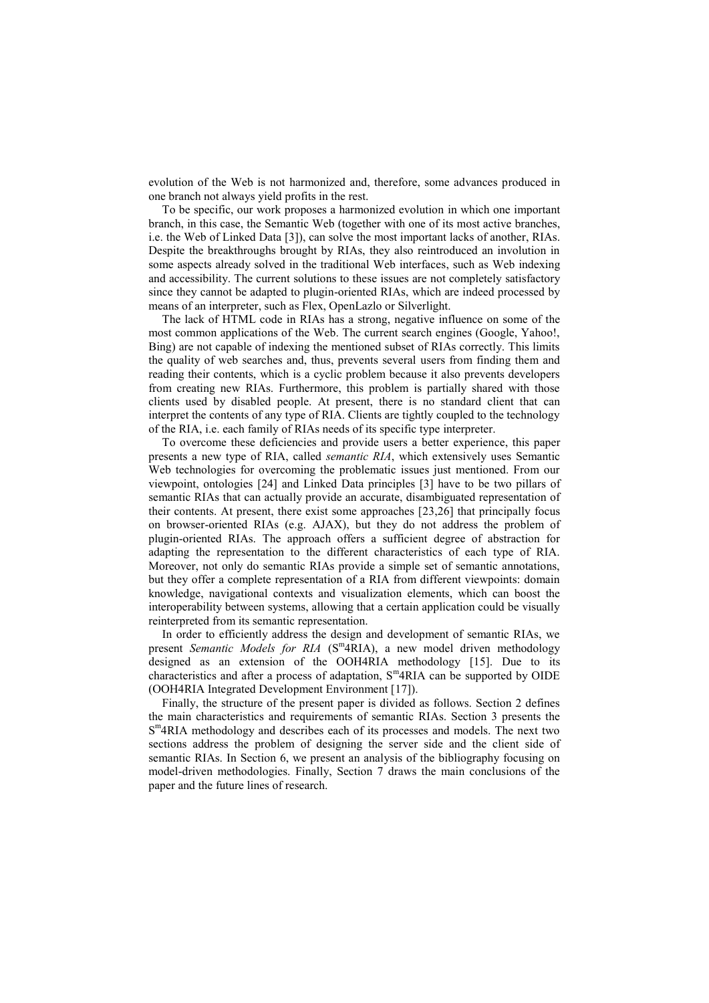evolution of the Web is not harmonized and, therefore, some advances produced in one branch not always yield profits in the rest.

To be specific, our work proposes a harmonized evolution in which one important branch, in this case, the Semantic Web (together with one of its most active branches, i.e. the Web of Linked Data [3]), can solve the most important lacks of another, RIAs. Despite the breakthroughs brought by RIAs, they also reintroduced an involution in some aspects already solved in the traditional Web interfaces, such as Web indexing and accessibility. The current solutions to these issues are not completely satisfactory since they cannot be adapted to plugin-oriented RIAs, which are indeed processed by means of an interpreter, such as Flex, OpenLazlo or Silverlight.

The lack of HTML code in RIAs has a strong, negative influence on some of the most common applications of the Web. The current search engines (Google, Yahoo!, Bing) are not capable of indexing the mentioned subset of RIAs correctly. This limits the quality of web searches and, thus, prevents several users from finding them and reading their contents, which is a cyclic problem because it also prevents developers from creating new RIAs. Furthermore, this problem is partially shared with those clients used by disabled people. At present, there is no standard client that can interpret the contents of any type of RIA. Clients are tightly coupled to the technology of the RIA, i.e. each family of RIAs needs of its specific type interpreter.

To overcome these deficiencies and provide users a better experience, this paper presents a new type of RIA, called *semantic RIA*, which extensively uses Semantic Web technologies for overcoming the problematic issues just mentioned. From our viewpoint, ontologies [24] and Linked Data principles [3] have to be two pillars of semantic RIAs that can actually provide an accurate, disambiguated representation of their contents. At present, there exist some approaches [23,26] that principally focus on browser-oriented RIAs (e.g. AJAX), but they do not address the problem of plugin-oriented RIAs. The approach offers a sufficient degree of abstraction for adapting the representation to the different characteristics of each type of RIA. Moreover, not only do semantic RIAs provide a simple set of semantic annotations, but they offer a complete representation of a RIA from different viewpoints: domain knowledge, navigational contexts and visualization elements, which can boost the interoperability between systems, allowing that a certain application could be visually reinterpreted from its semantic representation.

In order to efficiently address the design and development of semantic RIAs, we present Semantic Models for RIA (S<sup>m</sup>4RIA), a new model driven methodology designed as an extension of the OOH4RIA methodology [15]. Due to its characteristics and after a process of adaptation, S<sup>m</sup>4RIA can be supported by OIDE (OOH4RIA Integrated Development Environment [17]).

Finally, the structure of the present paper is divided as follows. Section 2 defines the main characteristics and requirements of semantic RIAs. Section 3 presents the S<sup>m</sup>4RIA methodology and describes each of its processes and models. The next two sections address the problem of designing the server side and the client side of semantic RIAs. In Section 6, we present an analysis of the bibliography focusing on model-driven methodologies. Finally, Section 7 draws the main conclusions of the paper and the future lines of research.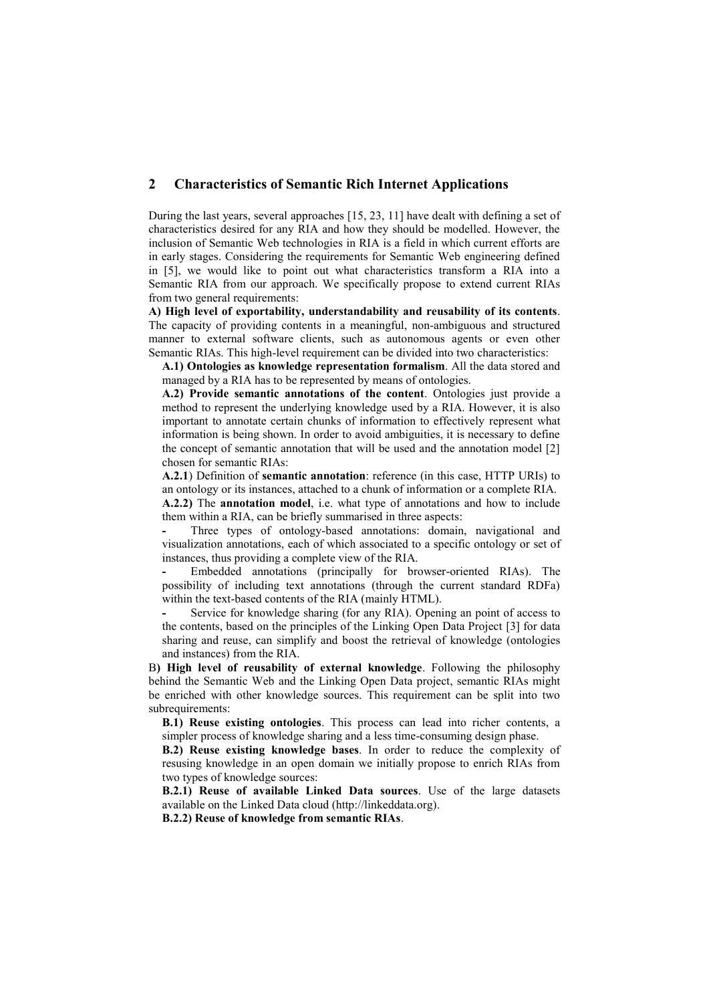### **2 Characteristics of Semantic Rich Internet Applications**

During the last years, several approaches [15, 23, 11] have dealt with defining a set of characteristics desired for any RIA and how they should be modelled. However, the inclusion of Semantic Web technologies in RIA is a field in which current efforts are in early stages. Considering the requirements for Semantic Web engineering defined in [5], we would like to point out what characteristics transform a RIA into a Semantic RIA from our approach. We specifically propose to extend current RIAs from two general requirements:

**A) High level of exportability, understandability and reusability of its contents**. The capacity of providing contents in a meaningful, non-ambiguous and structured manner to external software clients, such as autonomous agents or even other Semantic RIAs. This high-level requirement can be divided into two characteristics:

**A.1) Ontologies as knowledge representation formalism**. All the data stored and managed by a RIA has to be represented by means of ontologies.

**A.2) Provide semantic annotations of the content**. Ontologies just provide a method to represent the underlying knowledge used by a RIA. However, it is also important to annotate certain chunks of information to effectively represent what information is being shown. In order to avoid ambiguities, it is necessary to define the concept of semantic annotation that will be used and the annotation model [2] chosen for semantic RIAs:

**A.2.1**) Definition of **semantic annotation**: reference (in this case, HTTP URIs) to an ontology or its instances, attached to a chunk of information or a complete RIA. **A.2.2)** The **annotation model**, i.e. what type of annotations and how to include

them within a RIA, can be briefly summarised in three aspects:

Three types of ontology-based annotations: domain, navigational and visualization annotations, each of which associated to a specific ontology or set of instances, thus providing a complete view of the RIA.

**-** Embedded annotations (principally for browser-oriented RIAs). The possibility of including text annotations (through the current standard RDFa) within the text-based contents of the RIA (mainly HTML).

**-** Service for knowledge sharing (for any RIA). Opening an point of access to the contents, based on the principles of the Linking Open Data Project [3] for data sharing and reuse, can simplify and boost the retrieval of knowledge (ontologies and instances) from the RIA.

B**) High level of reusability of external knowledge**. Following the philosophy behind the Semantic Web and the Linking Open Data project, semantic RIAs might be enriched with other knowledge sources. This requirement can be split into two subrequirements:

**B.1) Reuse existing ontologies**. This process can lead into richer contents, a simpler process of knowledge sharing and a less time-consuming design phase.

**B.2) Reuse existing knowledge bases**. In order to reduce the complexity of resusing knowledge in an open domain we initially propose to enrich RIAs from two types of knowledge sources:

**B.2.1) Reuse of available Linked Data sources**. Use of the large datasets available on the Linked Data cloud (http://linkeddata.org).

**B.2.2) Reuse of knowledge from semantic RIAs**.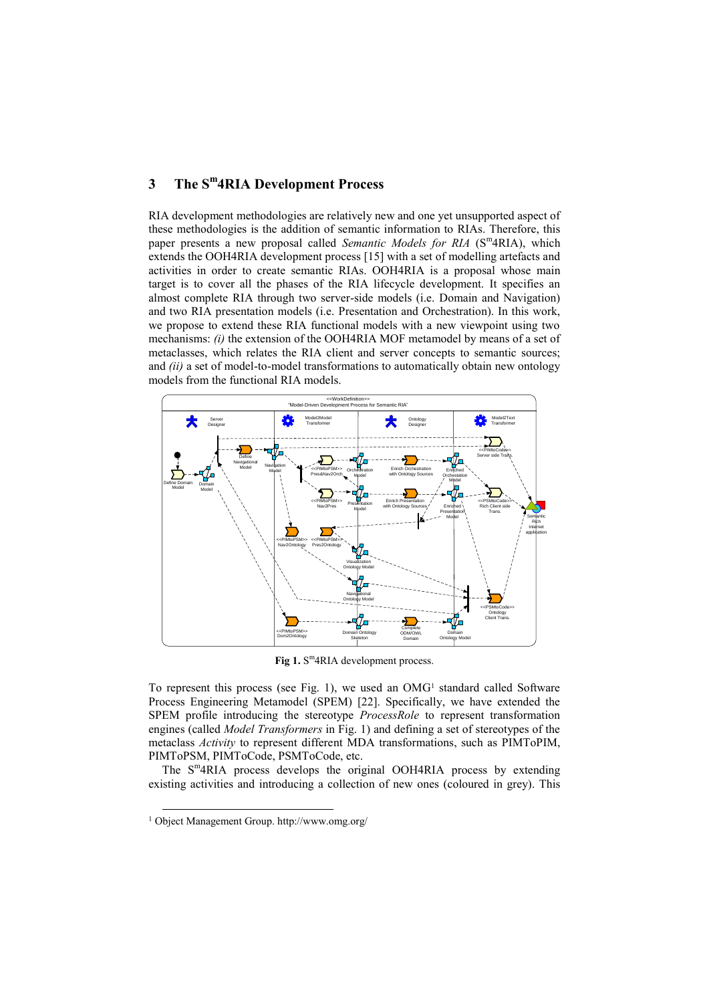## **3 The S m 4RIA Development Process**

RIA development methodologies are relatively new and one yet unsupported aspect of these methodologies is the addition of semantic information to RIAs. Therefore, this paper presents a new proposal called *Semantic Models for RIA* (S<sup>m</sup>4RIA), which extends the OOH4RIA development process [15] with a set of modelling artefacts and activities in order to create semantic RIAs. OOH4RIA is a proposal whose main target is to cover all the phases of the RIA lifecycle development. It specifies an almost complete RIA through two server-side models (i.e. Domain and Navigation) and two RIA presentation models (i.e. Presentation and Orchestration). In this work, we propose to extend these RIA functional models with a new viewpoint using two mechanisms: *(i)* the extension of the OOH4RIA MOF metamodel by means of a set of metaclasses, which relates the RIA client and server concepts to semantic sources; and *(ii)* a set of model-to-model transformations to automatically obtain new ontology models from the functional RIA models.



Fig 1. S<sup>m</sup>4RIA development process.

To represent this process (see Fig. 1), we used an OMG<sup>1</sup> standard called Software Process Engineering Metamodel (SPEM) [22]. Specifically, we have extended the SPEM profile introducing the stereotype *ProcessRole* to represent transformation engines (called *Model Transformers* in Fig. 1) and defining a set of stereotypes of the metaclass *Activity* to represent different MDA transformations, such as PIMToPIM, PIMToPSM, PIMToCode, PSMToCode, etc.

The S m 4RIA process develops the original OOH4RIA process by extending existing activities and introducing a collection of new ones (coloured in grey). This

1

<sup>1</sup> Object Management Group. http://www.omg.org/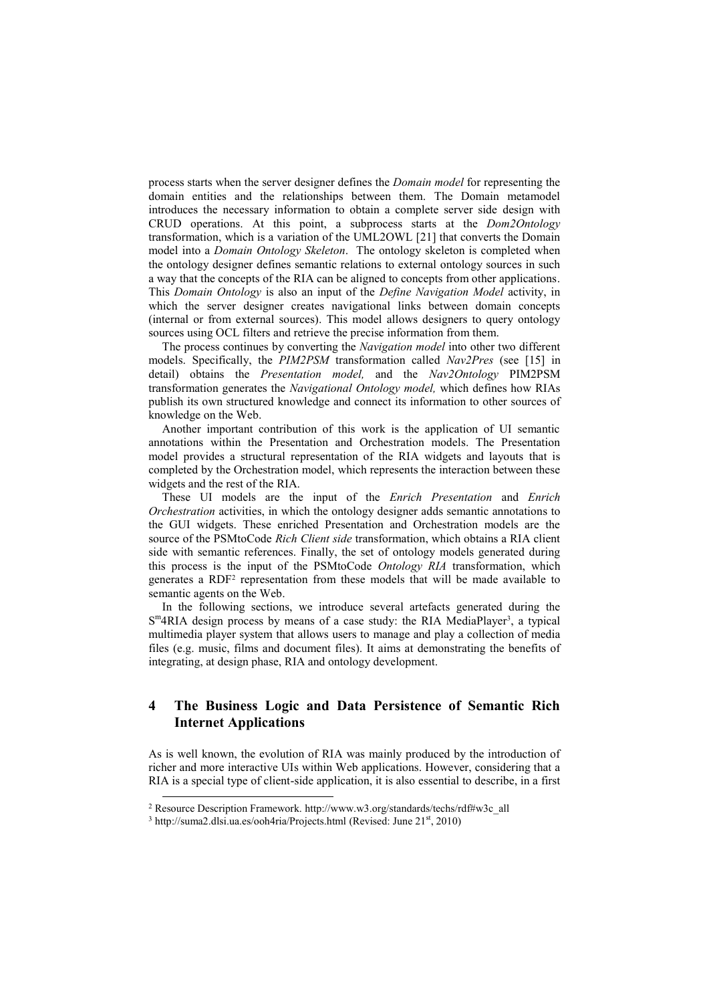process starts when the server designer defines the *Domain model* for representing the domain entities and the relationships between them. The Domain metamodel introduces the necessary information to obtain a complete server side design with CRUD operations. At this point, a subprocess starts at the *Dom2Ontology* transformation, which is a variation of the UML2OWL [21] that converts the Domain model into a *Domain Ontology Skeleton*. The ontology skeleton is completed when the ontology designer defines semantic relations to external ontology sources in such a way that the concepts of the RIA can be aligned to concepts from other applications. This *Domain Ontology* is also an input of the *Define Navigation Model* activity, in which the server designer creates navigational links between domain concepts (internal or from external sources). This model allows designers to query ontology sources using OCL filters and retrieve the precise information from them.

The process continues by converting the *Navigation model* into other two different models. Specifically, the *PIM2PSM* transformation called *Nav2Pres* (see [15] in detail) obtains the *Presentation model,* and the *Nav2Ontology* PIM2PSM transformation generates the *Navigational Ontology model,* which defines how RIAs publish its own structured knowledge and connect its information to other sources of knowledge on the Web.

Another important contribution of this work is the application of UI semantic annotations within the Presentation and Orchestration models. The Presentation model provides a structural representation of the RIA widgets and layouts that is completed by the Orchestration model, which represents the interaction between these widgets and the rest of the RIA.

These UI models are the input of the *Enrich Presentation* and *Enrich Orchestration* activities, in which the ontology designer adds semantic annotations to the GUI widgets. These enriched Presentation and Orchestration models are the source of the PSMtoCode *Rich Client side* transformation, which obtains a RIA client side with semantic references. Finally, the set of ontology models generated during this process is the input of the PSMtoCode *Ontology RIA* transformation, which generates a RDF<sup>2</sup> representation from these models that will be made available to semantic agents on the Web.

In the following sections, we introduce several artefacts generated during the S<sup>m</sup>4RIA design process by means of a case study: the RIA MediaPlayer<sup>3</sup>, a typical multimedia player system that allows users to manage and play a collection of media files (e.g. music, films and document files). It aims at demonstrating the benefits of integrating, at design phase, RIA and ontology development.

### **4 The Business Logic and Data Persistence of Semantic Rich Internet Applications**

As is well known, the evolution of RIA was mainly produced by the introduction of richer and more interactive UIs within Web applications. However, considering that a RIA is a special type of client-side application, it is also essential to describe, in a first

1

<sup>2</sup> Resource Description Framework. http://www.w3.org/standards/techs/rdf#w3c\_all

 $3$  http://suma2.dlsi.ua.es/ooh4ria/Projects.html (Revised: June  $21<sup>st</sup>$ , 2010)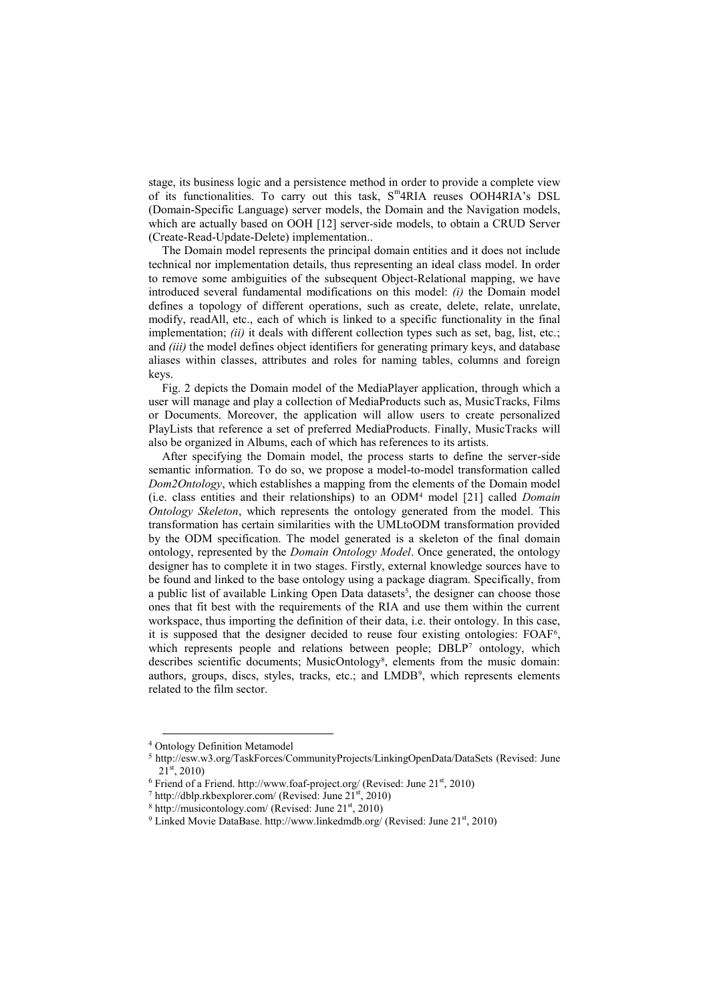stage, its business logic and a persistence method in order to provide a complete view of its functionalities. To carry out this task, S<sup>m</sup>4RIA reuses OOH4RIA's DSL (Domain-Specific Language) server models, the Domain and the Navigation models, which are actually based on OOH [12] server-side models, to obtain a CRUD Server (Create-Read-Update-Delete) implementation..

The Domain model represents the principal domain entities and it does not include technical nor implementation details, thus representing an ideal class model. In order to remove some ambiguities of the subsequent Object-Relational mapping, we have introduced several fundamental modifications on this model: *(i)* the Domain model defines a topology of different operations, such as create, delete, relate, unrelate, modify, readAll, etc., each of which is linked to a specific functionality in the final implementation; *(ii)* it deals with different collection types such as set, bag, list, etc.; and *(iii)* the model defines object identifiers for generating primary keys, and database aliases within classes, attributes and roles for naming tables, columns and foreign keys.

Fig. 2 depicts the Domain model of the MediaPlayer application, through which a user will manage and play a collection of MediaProducts such as, MusicTracks, Films or Documents. Moreover, the application will allow users to create personalized PlayLists that reference a set of preferred MediaProducts. Finally, MusicTracks will also be organized in Albums, each of which has references to its artists.

After specifying the Domain model, the process starts to define the server-side semantic information. To do so, we propose a model-to-model transformation called *Dom2Ontology*, which establishes a mapping from the elements of the Domain model (i.e. class entities and their relationships) to an ODM<sup>4</sup> model [21] called *Domain Ontology Skeleton*, which represents the ontology generated from the model. This transformation has certain similarities with the UMLtoODM transformation provided by the ODM specification. The model generated is a skeleton of the final domain ontology, represented by the *Domain Ontology Model*. Once generated, the ontology designer has to complete it in two stages. Firstly, external knowledge sources have to be found and linked to the base ontology using a package diagram. Specifically, from a public list of available Linking Open Data datasets<sup>5</sup>, the designer can choose those ones that fit best with the requirements of the RIA and use them within the current workspace, thus importing the definition of their data, i.e. their ontology. In this case, it is supposed that the designer decided to reuse four existing ontologies: FOAF<sup>6</sup>, which represents people and relations between people;  $DBLP<sup>7</sup>$  ontology, which describes scientific documents; MusicOntology<sup>8</sup>, elements from the music domain: authors, groups, discs, styles, tracks, etc.; and LMDB<sup>9</sup>, which represents elements related to the film sector.

1

<sup>4</sup> Ontology Definition Metamodel

<sup>5</sup> http://esw.w3.org/TaskForces/CommunityProjects/LinkingOpenData/DataSets (Revised: June  $21^{\text{st}}$ , 2010)

 $6$  Friend of a Friend. http://www.foaf-project.org/ (Revised: June  $21<sup>st</sup>$ , 2010)

 $^7$  http://dblp.rkbexplorer.com/ (Revised: June 21<sup>st</sup>, 2010)

 $8$  http://musicontology.com/ (Revised: June 21 $\mathrm{^{st}}$ , 2010)

<sup>&</sup>lt;sup>9</sup> Linked Movie DataBase. http://www.linkedmdb.org/ (Revised: June 21<sup>st</sup>, 2010)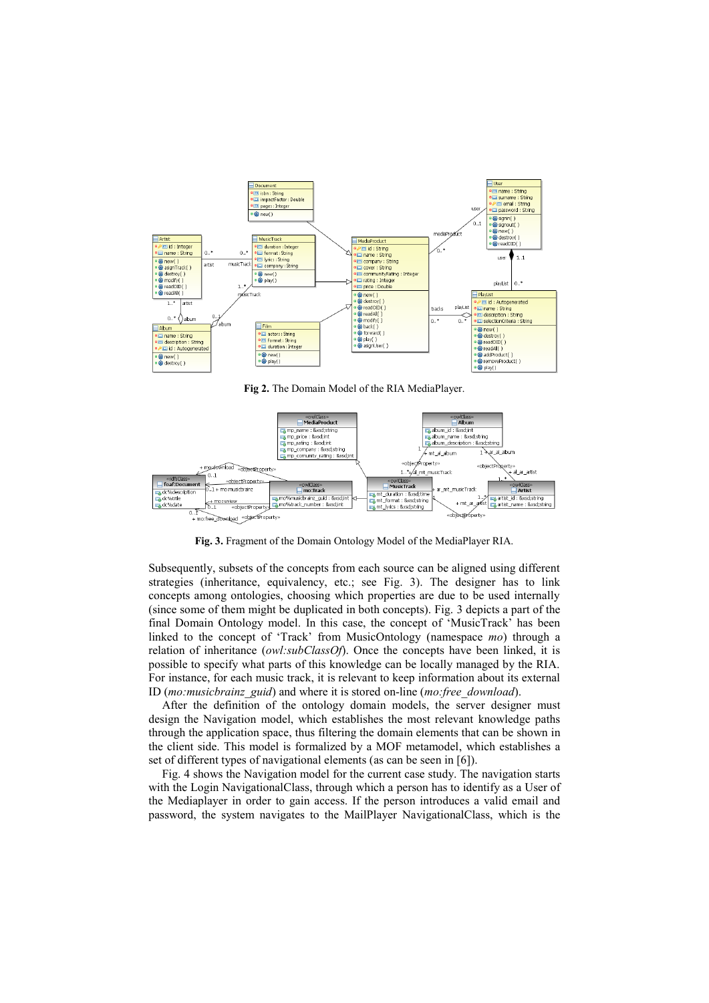

**Fig 2.** The Domain Model of the RIA MediaPlayer.



**Fig. 3.** Fragment of the Domain Ontology Model of the MediaPlayer RIA.

Subsequently, subsets of the concepts from each source can be aligned using different strategies (inheritance, equivalency, etc.; see Fig. 3). The designer has to link concepts among ontologies, choosing which properties are due to be used internally (since some of them might be duplicated in both concepts). Fig. 3 depicts a part of the final Domain Ontology model. In this case, the concept of "MusicTrack" has been linked to the concept of "Track" from MusicOntology (namespace *mo*) through a relation of inheritance (*owl:subClassOf*). Once the concepts have been linked, it is possible to specify what parts of this knowledge can be locally managed by the RIA. For instance, for each music track, it is relevant to keep information about its external ID (*mo:musicbrainz\_guid*) and where it is stored on-line (*mo:free\_download*).

After the definition of the ontology domain models, the server designer must design the Navigation model, which establishes the most relevant knowledge paths through the application space, thus filtering the domain elements that can be shown in the client side. This model is formalized by a MOF metamodel, which establishes a set of different types of navigational elements (as can be seen in [6]).

Fig. 4 shows the Navigation model for the current case study. The navigation starts with the Login NavigationalClass, through which a person has to identify as a User of the Mediaplayer in order to gain access. If the person introduces a valid email and password, the system navigates to the MailPlayer NavigationalClass, which is the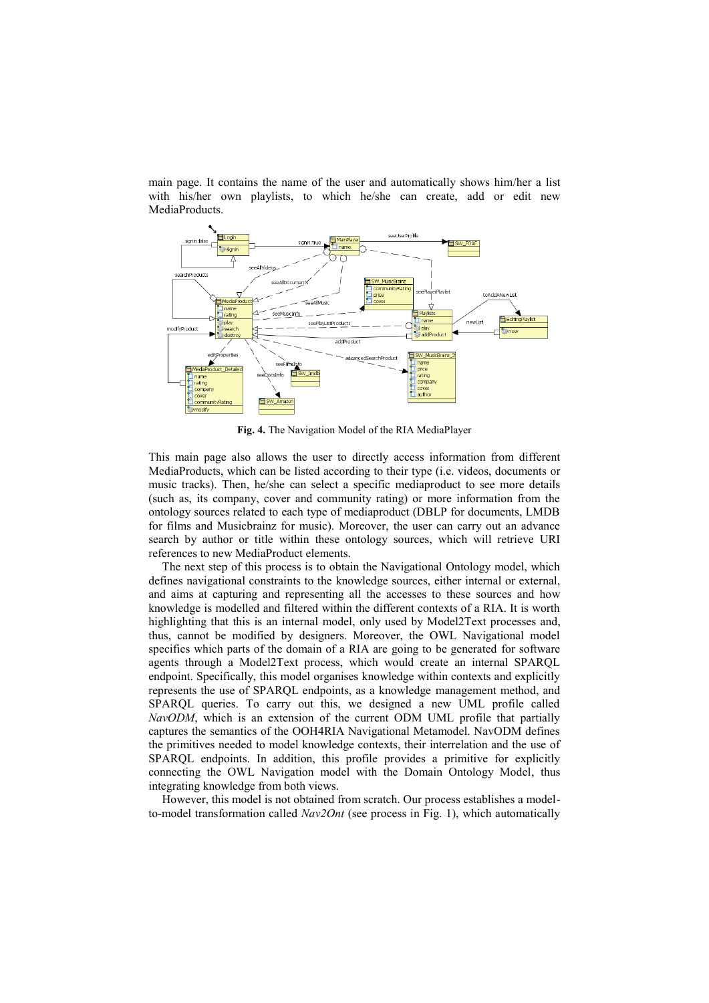main page. It contains the name of the user and automatically shows him/her a list with his/her own playlists, to which he/she can create, add or edit new MediaProducts.



**Fig. 4.** The Navigation Model of the RIA MediaPlayer

This main page also allows the user to directly access information from different MediaProducts, which can be listed according to their type (i.e. videos, documents or music tracks). Then, he/she can select a specific mediaproduct to see more details (such as, its company, cover and community rating) or more information from the ontology sources related to each type of mediaproduct (DBLP for documents, LMDB for films and Musicbrainz for music). Moreover, the user can carry out an advance search by author or title within these ontology sources, which will retrieve URI references to new MediaProduct elements.

The next step of this process is to obtain the Navigational Ontology model, which defines navigational constraints to the knowledge sources, either internal or external, and aims at capturing and representing all the accesses to these sources and how knowledge is modelled and filtered within the different contexts of a RIA. It is worth highlighting that this is an internal model, only used by Model2Text processes and, thus, cannot be modified by designers. Moreover, the OWL Navigational model specifies which parts of the domain of a RIA are going to be generated for software agents through a Model2Text process, which would create an internal SPARQL endpoint. Specifically, this model organises knowledge within contexts and explicitly represents the use of SPARQL endpoints, as a knowledge management method, and SPARQL queries. To carry out this, we designed a new UML profile called *NavODM*, which is an extension of the current ODM UML profile that partially captures the semantics of the OOH4RIA Navigational Metamodel. NavODM defines the primitives needed to model knowledge contexts, their interrelation and the use of SPARQL endpoints. In addition, this profile provides a primitive for explicitly connecting the OWL Navigation model with the Domain Ontology Model, thus integrating knowledge from both views.

However, this model is not obtained from scratch. Our process establishes a modelto-model transformation called *Nav2Ont* (see process in Fig. 1), which automatically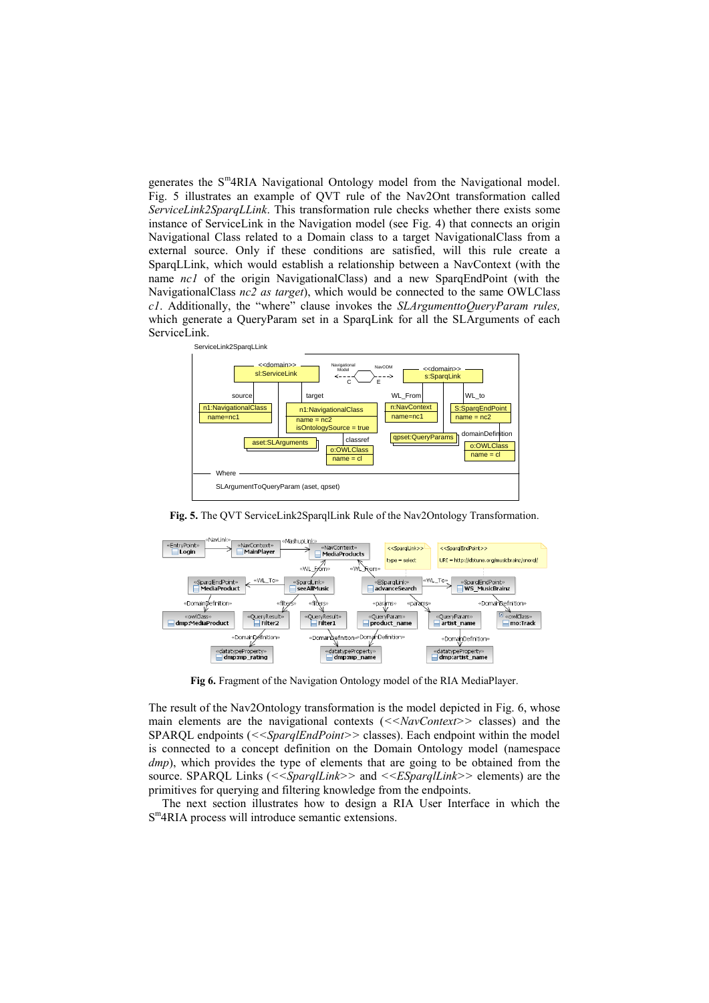generates the S<sup>m</sup>4RIA Navigational Ontology model from the Navigational model. Fig. 5 illustrates an example of QVT rule of the Nav2Ont transformation called *ServiceLink2SparqLLink*. This transformation rule checks whether there exists some instance of ServiceLink in the Navigation model (see Fig. 4) that connects an origin Navigational Class related to a Domain class to a target NavigationalClass from a external source. Only if these conditions are satisfied, will this rule create a SparqLLink, which would establish a relationship between a NavContext (with the name *nc1* of the origin NavigationalClass) and a new SparqEndPoint (with the NavigationalClass *nc2 as target*), which would be connected to the same OWLClass *c1*. Additionally, the "where" clause invokes the *SLArgumenttoQueryParam rules,* which generate a QueryParam set in a SparqLink for all the SLArguments of each ServiceLink.







**Fig 6.** Fragment of the Navigation Ontology model of the RIA MediaPlayer.

The result of the Nav2Ontology transformation is the model depicted in Fig. 6, whose main elements are the navigational contexts ( $\leq$ *NavContext>>* classes) and the SPARQL endpoints (*<<SparqlEndPoint>>* classes). Each endpoint within the model is connected to a concept definition on the Domain Ontology model (namespace *dmp*), which provides the type of elements that are going to be obtained from the source. SPARQL Links ( $\le$ SparqlLink>> and  $\le$ ESparqlLink>> elements) are the primitives for querying and filtering knowledge from the endpoints.

The next section illustrates how to design a RIA User Interface in which the S m 4RIA process will introduce semantic extensions.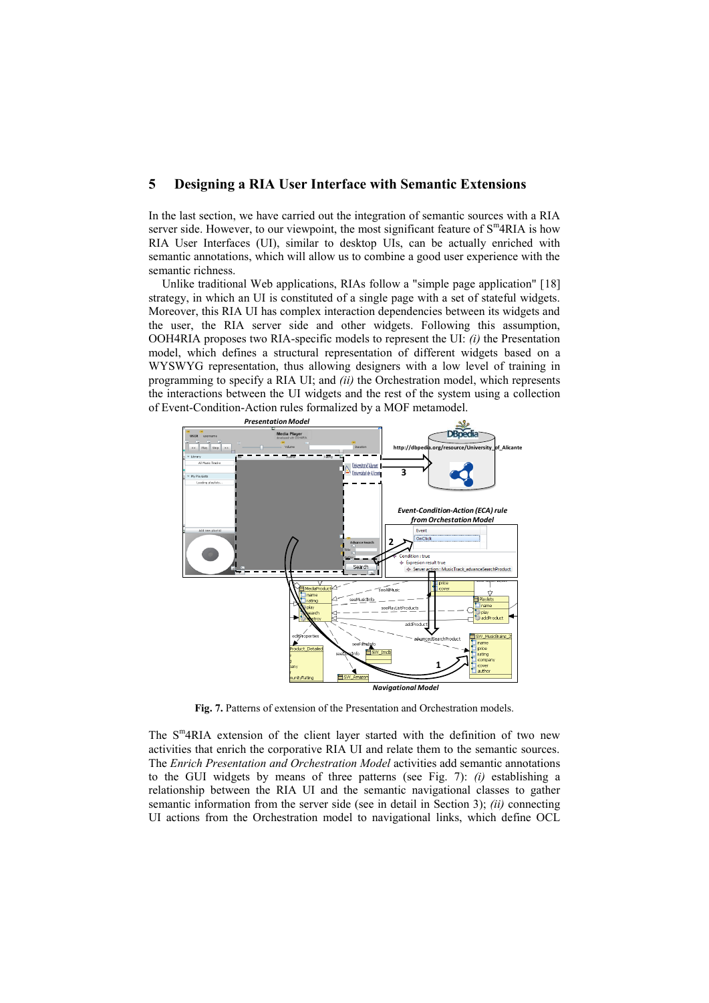### **5 Designing a RIA User Interface with Semantic Extensions**

In the last section, we have carried out the integration of semantic sources with a RIA server side. However, to our viewpoint, the most significant feature of S<sup>m</sup>4RIA is how RIA User Interfaces (UI), similar to desktop UIs, can be actually enriched with semantic annotations, which will allow us to combine a good user experience with the semantic richness.

Unlike traditional Web applications, RIAs follow a "simple page application" [18] strategy, in which an UI is constituted of a single page with a set of stateful widgets. Moreover, this RIA UI has complex interaction dependencies between its widgets and the user, the RIA server side and other widgets. Following this assumption, OOH4RIA proposes two RIA-specific models to represent the UI: *(i)* the Presentation model, which defines a structural representation of different widgets based on a WYSWYG representation, thus allowing designers with a low level of training in programming to specify a RIA UI; and *(ii)* the Orchestration model, which represents the interactions between the UI widgets and the rest of the system using a collection of Event-Condition-Action rules formalized by a MOF metamodel.



**Fig. 7.** Patterns of extension of the Presentation and Orchestration models.

The S<sup>m</sup>4RIA extension of the client layer started with the definition of two new activities that enrich the corporative RIA UI and relate them to the semantic sources. The *Enrich Presentation and Orchestration Model* activities add semantic annotations to the GUI widgets by means of three patterns (see Fig. 7): *(i)* establishing a relationship between the RIA UI and the semantic navigational classes to gather semantic information from the server side (see in detail in Section 3); *(ii)* connecting UI actions from the Orchestration model to navigational links, which define OCL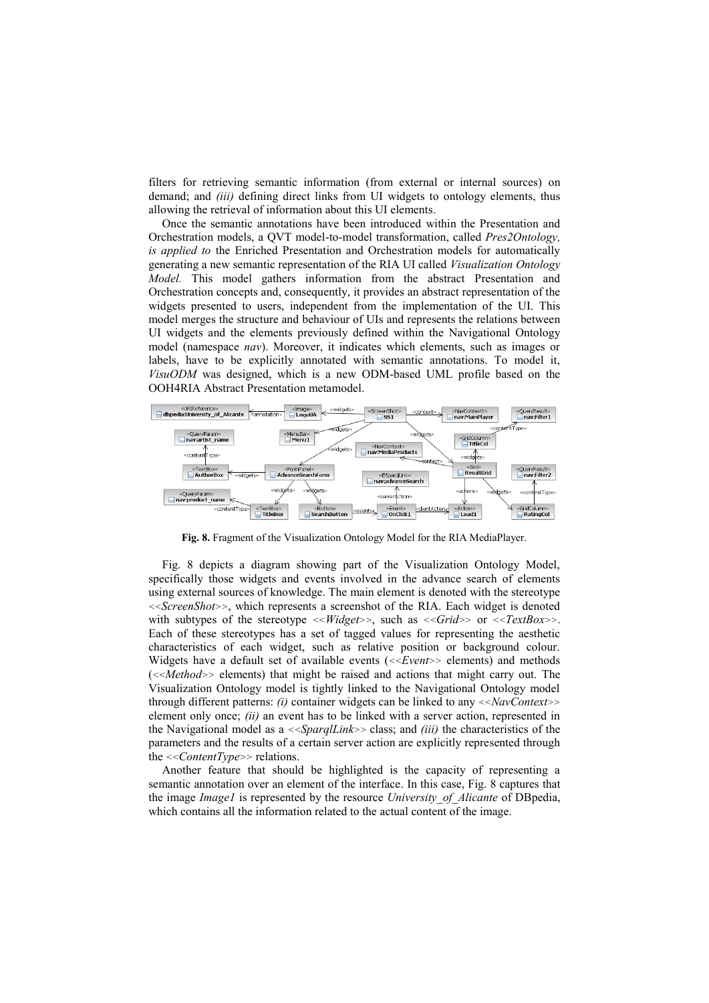filters for retrieving semantic information (from external or internal sources) on demand; and *(iii)* defining direct links from UI widgets to ontology elements, thus allowing the retrieval of information about this UI elements.

Once the semantic annotations have been introduced within the Presentation and Orchestration models, a QVT model-to-model transformation, called *Pres2Ontology, is applied to* the Enriched Presentation and Orchestration models for automatically generating a new semantic representation of the RIA UI called *Visualization Ontology Model.* This model gathers information from the abstract Presentation and Orchestration concepts and, consequently, it provides an abstract representation of the widgets presented to users, independent from the implementation of the UI. This model merges the structure and behaviour of UIs and represents the relations between UI widgets and the elements previously defined within the Navigational Ontology model (namespace *nav*). Moreover, it indicates which elements, such as images or labels, have to be explicitly annotated with semantic annotations. To model it, *VisuODM* was designed, which is a new ODM-based UML profile based on the OOH4RIA Abstract Presentation metamodel.



**Fig. 8.** Fragment of the Visualization Ontology Model for the RIA MediaPlayer.

Fig. 8 depicts a diagram showing part of the Visualization Ontology Model, specifically those widgets and events involved in the advance search of elements using external sources of knowledge. The main element is denoted with the stereotype *<<ScreenShot>>*, which represents a screenshot of the RIA. Each widget is denoted with subtypes of the stereotype *<<Widget>>*, such as *<<Grid>>* or *<<TextBox>>*. Each of these stereotypes has a set of tagged values for representing the aesthetic characteristics of each widget, such as relative position or background colour. Widgets have a default set of available events (*<<Event>>* elements) and methods (*<<Method>>* elements) that might be raised and actions that might carry out. The Visualization Ontology model is tightly linked to the Navigational Ontology model through different patterns: *(i)* container widgets can be linked to any *<<NavContext>>* element only once; *(ii)* an event has to be linked with a server action, represented in the Navigational model as a *<<SparqlLink>>* class; and *(iii)* the characteristics of the parameters and the results of a certain server action are explicitly represented through the *<<ContentType>>* relations.

Another feature that should be highlighted is the capacity of representing a semantic annotation over an element of the interface. In this case, Fig. 8 captures that the image *Image1* is represented by the resource *University\_of\_Alicante* of DBpedia, which contains all the information related to the actual content of the image.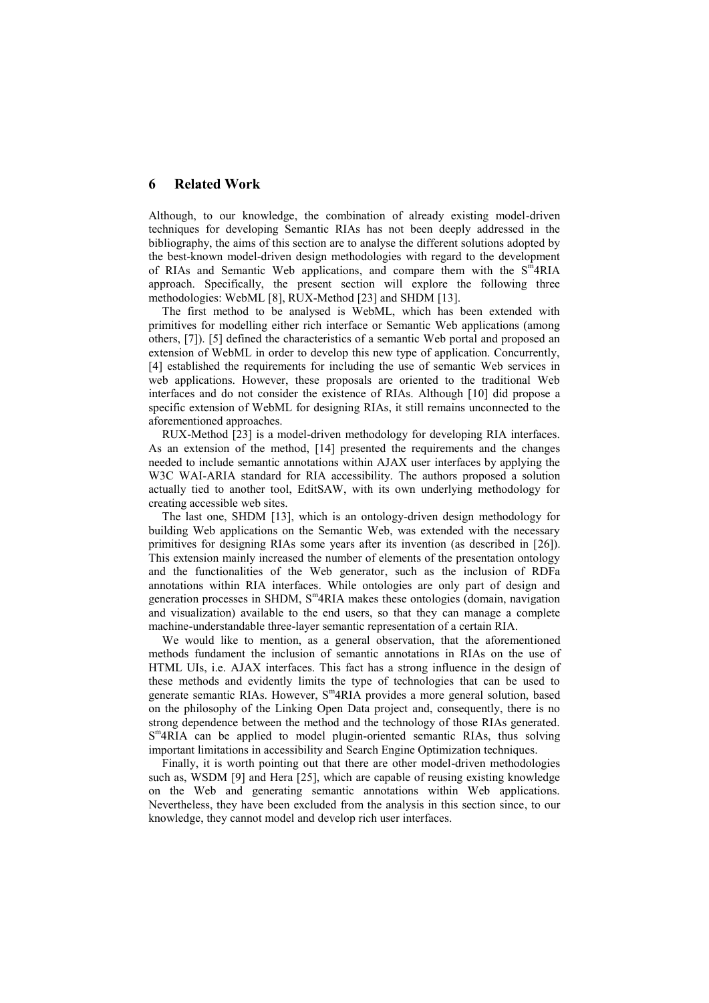#### **6 Related Work**

Although, to our knowledge, the combination of already existing model-driven techniques for developing Semantic RIAs has not been deeply addressed in the bibliography, the aims of this section are to analyse the different solutions adopted by the best-known model-driven design methodologies with regard to the development of RIAs and Semantic Web applications, and compare them with the S<sup>m</sup>4RIA approach. Specifically, the present section will explore the following three methodologies: WebML [8], RUX-Method [23] and SHDM [13].

The first method to be analysed is WebML, which has been extended with primitives for modelling either rich interface or Semantic Web applications (among others, [7]). [5] defined the characteristics of a semantic Web portal and proposed an extension of WebML in order to develop this new type of application. Concurrently, [4] established the requirements for including the use of semantic Web services in web applications. However, these proposals are oriented to the traditional Web interfaces and do not consider the existence of RIAs. Although [10] did propose a specific extension of WebML for designing RIAs, it still remains unconnected to the aforementioned approaches.

RUX-Method [23] is a model-driven methodology for developing RIA interfaces. As an extension of the method, [14] presented the requirements and the changes needed to include semantic annotations within AJAX user interfaces by applying the W3C WAI-ARIA standard for RIA accessibility. The authors proposed a solution actually tied to another tool, EditSAW, with its own underlying methodology for creating accessible web sites.

The last one, SHDM [13], which is an ontology-driven design methodology for building Web applications on the Semantic Web, was extended with the necessary primitives for designing RIAs some years after its invention (as described in [26]). This extension mainly increased the number of elements of the presentation ontology and the functionalities of the Web generator, such as the inclusion of RDFa annotations within RIA interfaces. While ontologies are only part of design and generation processes in SHDM, S<sup>m</sup>4RIA makes these ontologies (domain, navigation and visualization) available to the end users, so that they can manage a complete machine-understandable three-layer semantic representation of a certain RIA.

We would like to mention, as a general observation, that the aforementioned methods fundament the inclusion of semantic annotations in RIAs on the use of HTML UIs, i.e. AJAX interfaces. This fact has a strong influence in the design of these methods and evidently limits the type of technologies that can be used to generate semantic RIAs. However, S<sup>m</sup>4RIA provides a more general solution, based on the philosophy of the Linking Open Data project and, consequently, there is no strong dependence between the method and the technology of those RIAs generated. S<sup>m</sup>4RIA can be applied to model plugin-oriented semantic RIAs, thus solving important limitations in accessibility and Search Engine Optimization techniques.

Finally, it is worth pointing out that there are other model-driven methodologies such as, WSDM [9] and Hera [25], which are capable of reusing existing knowledge on the Web and generating semantic annotations within Web applications. Nevertheless, they have been excluded from the analysis in this section since, to our knowledge, they cannot model and develop rich user interfaces.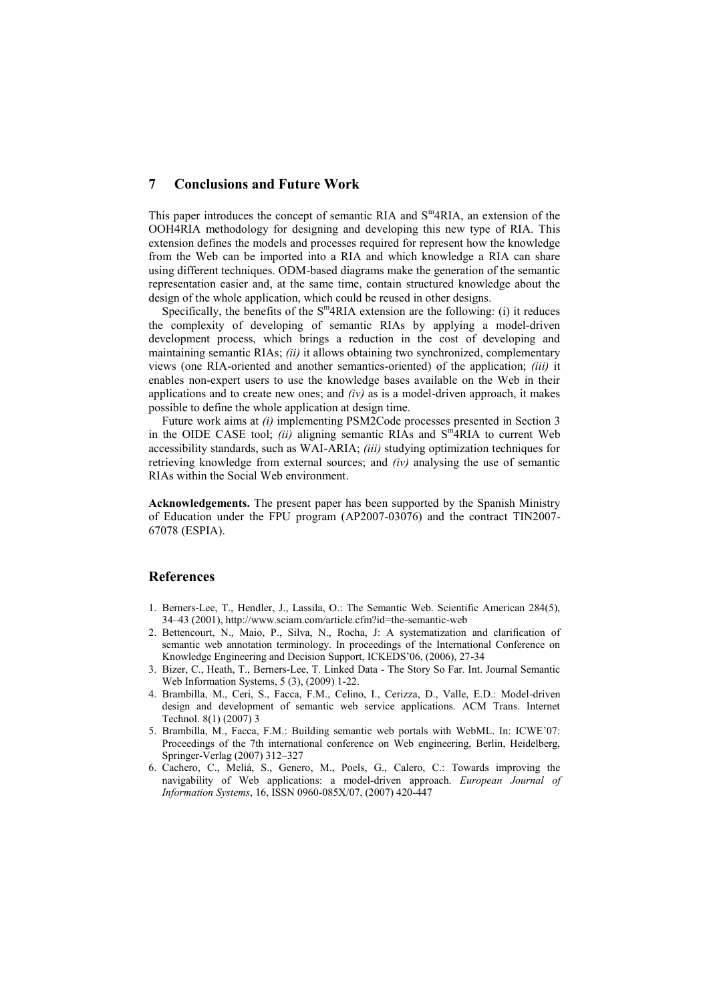### **7 Conclusions and Future Work**

This paper introduces the concept of semantic RIA and  $S<sup>m</sup>4RIA$ , an extension of the OOH4RIA methodology for designing and developing this new type of RIA. This extension defines the models and processes required for represent how the knowledge from the Web can be imported into a RIA and which knowledge a RIA can share using different techniques. ODM-based diagrams make the generation of the semantic representation easier and, at the same time, contain structured knowledge about the design of the whole application, which could be reused in other designs.

Specifically, the benefits of the S m 4RIA extension are the following: (i) it reduces the complexity of developing of semantic RIAs by applying a model-driven development process, which brings a reduction in the cost of developing and maintaining semantic RIAs; *(ii)* it allows obtaining two synchronized, complementary views (one RIA-oriented and another semantics-oriented) of the application; *(iii)* it enables non-expert users to use the knowledge bases available on the Web in their applications and to create new ones; and *(iv)* as is a model-driven approach, it makes possible to define the whole application at design time.

Future work aims at *(i)* implementing PSM2Code processes presented in Section 3 in the OIDE CASE tool; *(ii)* aligning semantic RIAs and S m 4RIA to current Web accessibility standards, such as WAI-ARIA; *(iii)* studying optimization techniques for retrieving knowledge from external sources; and *(iv)* analysing the use of semantic RIAs within the Social Web environment.

**Acknowledgements.** The present paper has been supported by the Spanish Ministry of Education under the FPU program (AP2007-03076) and the contract TIN2007- 67078 (ESPIA).

#### **References**

- 1. Berners-Lee, T., Hendler, J., Lassila, O.: The Semantic Web. Scientific American 284(5), 34–43 (2001), http://www.sciam.com/article.cfm?id=the-semantic-web
- 2. Bettencourt, N., Maio, P., Silva, N., Rocha, J: A systematization and clarification of semantic web annotation terminology. In proceedings of the International Conference on Knowledge Engineering and Decision Support, ICKEDS"06, (2006), 27-34
- 3. Bizer, C., Heath, T., Berners-Lee, T. Linked Data The Story So Far. Int. Journal Semantic Web Information Systems, 5 (3), (2009) 1-22.
- 4. Brambilla, M., Ceri, S., Facca, F.M., Celino, I., Cerizza, D., Valle, E.D.: Model-driven design and development of semantic web service applications. ACM Trans. Internet Technol. 8(1) (2007) 3
- 5. Brambilla, M., Facca, F.M.: Building semantic web portals with WebML. In: ICWE"07: Proceedings of the 7th international conference on Web engineering, Berlin, Heidelberg, Springer-Verlag (2007) 312–327
- 6. Cachero, C., Meliá, S., Genero, M., Poels, G., Calero, C.: Towards improving the navigability of Web applications: a model-driven approach. *European Journal of Information Systems*, 16, ISSN 0960-085X/07, (2007) 420-447